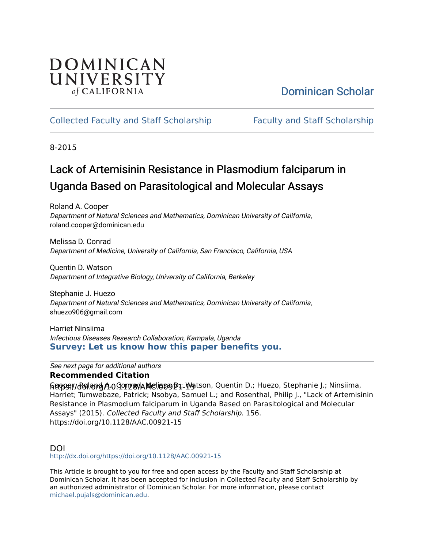## DOMINICAN UNIVERSITY of CALIFORNIA

# [Dominican Scholar](https://scholar.dominican.edu/)

## [Collected Faculty and Staff Scholarship](https://scholar.dominican.edu/all-faculty) [Faculty and Staff Scholarship](https://scholar.dominican.edu/faculty-scholarship)

8-2015

# Lack of Artemisinin Resistance in Plasmodium falciparum in Uganda Based on Parasitological and Molecular Assays

Roland A. Cooper Department of Natural Sciences and Mathematics, Dominican University of California, roland.cooper@dominican.edu

Melissa D. Conrad Department of Medicine, University of California, San Francisco, California, USA

Quentin D. Watson Department of Integrative Biology, University of California, Berkeley

Stephanie J. Huezo Department of Natural Sciences and Mathematics, Dominican University of California, shuezo906@gmail.com

Harriet Ninsiima Infectious Diseases Research Collaboration, Kampala, Uganda **[Survey: Let us know how this paper benefits you.](https://dominican.libwizard.com/dominican-scholar-feedback)** 

See next page for additional authors

### **Recommended Citation**

ፍ<del>@</del>pe://dolardA0.901284AMeliop D1. Watson, Quentin D.; Huezo, Stephanie J.; Ninsiima, Harriet; Tumwebaze, Patrick; Nsobya, Samuel L.; and Rosenthal, Philip J., "Lack of Artemisinin Resistance in Plasmodium falciparum in Uganda Based on Parasitological and Molecular Assays" (2015). Collected Faculty and Staff Scholarship. 156. https://doi.org/10.1128/AAC.00921-15

### DOI

<http://dx.doi.org/https://doi.org/10.1128/AAC.00921-15>

This Article is brought to you for free and open access by the Faculty and Staff Scholarship at Dominican Scholar. It has been accepted for inclusion in Collected Faculty and Staff Scholarship by an authorized administrator of Dominican Scholar. For more information, please contact [michael.pujals@dominican.edu.](mailto:michael.pujals@dominican.edu)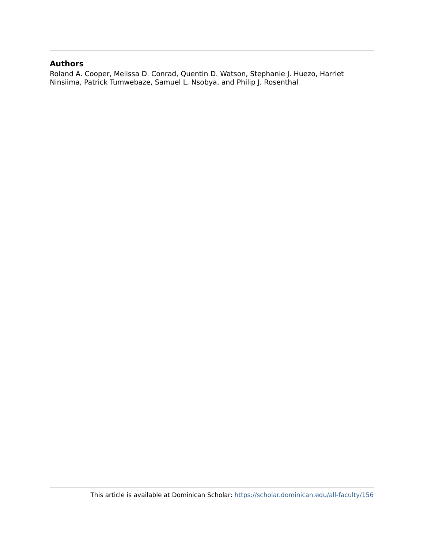#### **Authors**

Roland A. Cooper, Melissa D. Conrad, Quentin D. Watson, Stephanie J. Huezo, Harriet Ninsiima, Patrick Tumwebaze, Samuel L. Nsobya, and Philip J. Rosenthal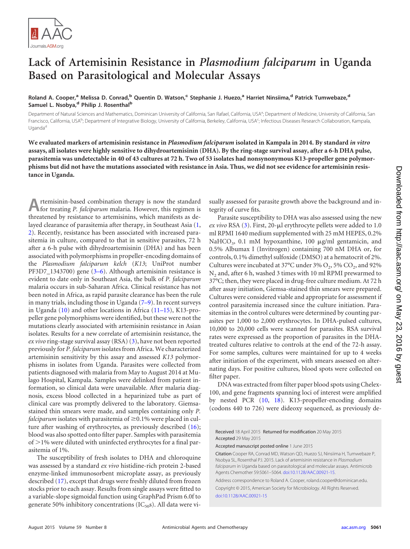

## **Lack of Artemisinin Resistance in** *Plasmodium falciparum* **in Uganda Based on Parasitological and Molecular Assays**

**Roland A. Cooper,<sup>a</sup> Melissa D. Conrad,<sup>b</sup> Quentin D. Watson,<sup>c</sup> Stephanie J. Huezo,<sup>a</sup> Harriet Ninsiima,<sup>d</sup> Patrick Tumwebaze,<sup>d</sup> Samuel L. Nsobya,<sup>d</sup> Philip J. Rosenthal<sup>b</sup>**

Department of Natural Sciences and Mathematics, Dominican University of California, San Rafael, California, USA<sup>a</sup>; Department of Medicine, University of California, San Francisco, California, USA<sup>b</sup>; Department of Integrative Biology, University of California, Berkeley, California, USA<sup>c</sup>; Infectious Diseases Research Collaboration, Kampala, Uganda<sup>d</sup>

**We evaluated markers of artemisinin resistance in** *Plasmodium falciparum* **isolated in Kampala in 2014. By standard** *in vitro* **assays, all isolates were highly sensitive to dihydroartemisinin (DHA). By the ring-stage survival assay, after a 6-h DHA pulse, parasitemia was undetectable in 40 of 43 cultures at 72 h. Two of 53 isolates had nonsynonymous K13-propeller gene polymorphisms but did not have the mutations associated with resistance in Asia. Thus, we did not see evidence for artemisinin resistance in Uganda.**

**A**rtemisinin-based combination therapy is now the standard for treating *P. falciparum* malaria. However, this regimen is threatened by resistance to artemisinins, which manifests as delayed clearance of parasitemia after therapy, in Southeast Asia [\(1,](#page-4-0) [2\)](#page-4-1). Recently, resistance has been associated with increased parasitemia in culture, compared to that in sensitive parasites, 72 h after a 6-h pulse with dihydroartemisinin (DHA) and has been associated with polymorphisms in propeller-encoding domains of the *Plasmodium falciparum kelch* (*K13*; UniProt number PF3D7\_1343700) gene [\(3](#page-4-2)[–](#page-4-3)[6\)](#page-4-4). Although artemisinin resistance is evident to date only in Southeast Asia, the bulk of *P. falciparum* malaria occurs in sub-Saharan Africa. Clinical resistance has not been noted in Africa, as rapid parasite clearance has been the rule in many trials, including those in Uganda [\(7](#page-5-0)[–](#page-5-1)[9\)](#page-5-2). In recent surveys in Uganda [\(10\)](#page-5-3) and other locations in Africa [\(11](#page-5-4)[–](#page-5-5)[15\)](#page-5-6), K13-propeller gene polymorphisms were identified, but these were not the mutations clearly associated with artemisinin resistance in Asian isolates. Results for a new correlate of artemisinin resistance, the *ex vivo* ring-stage survival assay (RSA) [\(3\)](#page-4-2), have not been reported previously for *P. falciparum* isolates from Africa. We characterized artemisinin sensitivity by this assay and assessed *K13* polymorphisms in isolates from Uganda. Parasites were collected from patients diagnosed with malaria from May to August 2014 at Mulago Hospital, Kampala. Samples were delinked from patient information, so clinical data were unavailable. After malaria diagnosis, excess blood collected in a heparinized tube as part of clinical care was promptly delivered to the laboratory. Giemsastained thin smears were made, and samples containing only *P.* falciparum isolates with parasitemia of  $\geq$ 0.1% were placed in culture after washing of erythrocytes, as previously described [\(16\)](#page-5-7); blood was also spotted onto filter paper. Samples with parasitemia of >1% were diluted with uninfected erythrocytes for a final parasitemia of 1%.

The susceptibility of fresh isolates to DHA and chloroquine was assessed by a standard *ex vivo* histidine-rich protein 2-based enzyme-linked immunosorbent microplate assay, as previously described [\(17\)](#page-5-8), except that drugs were freshly diluted from frozen stocks prior to each assay. Results from single assays were fitted to a variable-slope sigmoidal function using GraphPad Prism 6.0f to generate 50% inhibitory concentrations ( $IC_{50}$ s). All data were visually assessed for parasite growth above the background and integrity of curve fits.

Parasite susceptibility to DHA was also assessed using the new *ex vivo* RSA [\(3\)](#page-4-2). First, 20-µl erythrocyte pellets were added to 1.0 ml RPMI 1640 medium supplemented with 25 mM HEPES, 0.2% NaHCO<sub>3</sub>, 0.1 mM hypoxanthine, 100  $\mu$ g/ml gentamicin, and 0.5% Albumax I (Invitrogen) containing 700 nM DHA or, for controls, 0.1% dimethyl sulfoxide (DMSO) at a hematocrit of 2%. Cultures were incubated at  $37^{\circ}$ C under  $3\%$  O<sub>2</sub>,  $5\%$  CO<sub>2</sub>, and  $92\%$ N<sub>2</sub> and, after 6 h, washed 3 times with 10 ml RPMI prewarmed to 37°C; then, they were placed in drug-free culture medium. At 72 h after assay initiation, Giemsa-stained thin smears were prepared. Cultures were considered viable and appropriate for assessment if control parasitemia increased since the culture initiation. Parasitemias in the control cultures were determined by counting parasites per 1,000 to 2,000 erythrocytes. In DHA-pulsed cultures, 10,000 to 20,000 cells were scanned for parasites. RSA survival rates were expressed as the proportion of parasites in the DHAtreated cultures relative to controls at the end of the 72-h assay. For some samples, cultures were maintained for up to 4 weeks after initiation of the experiment, with smears assessed on alternating days. For positive cultures, blood spots were collected on filter paper.

DNA was extracted from filter paper blood spots using Chelex-100, and gene fragments spanning loci of interest were amplified by nested PCR [\(10,](#page-5-3) [18\)](#page-5-9). K13-propeller-encoding domains (codons 440 to 726) were dideoxy sequenced, as previously de-

Received 18 April 2015 Returned for modification 20 May 2015 Accepted 29 May 2015

Accepted manuscript posted online 1 June 2015

Citation Cooper RA, Conrad MD, Watson QD, Huezo SJ, Ninsiima H, Tumwebaze P, Nsobya SL, Rosenthal PJ. 2015. Lack of artemisinin resistance in *Plasmodium falciparum* in Uganda based on parasitological and molecular assays. Antimicrob Agents Chemother 59:5061–5064. [doi:10.1128/AAC.00921-15.](http://dx.doi.org/10.1128/AAC.00921-15)

Address correspondence to Roland A. Cooper, roland.cooper@dominican.edu. Copyright © 2015, American Society for Microbiology. All Rights Reserved. [doi:10.1128/AAC.00921-15](http://dx.doi.org/10.1128/AAC.00921-15)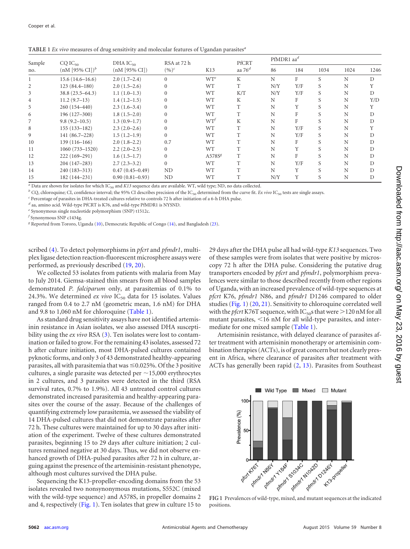<span id="page-3-0"></span>

| TABLE 1 Ex vivo measures of drug sensitivity and molecular features of Ugandan parasites <sup>a</sup> |  |  |
|-------------------------------------------------------------------------------------------------------|--|--|
|                                                                                                       |  |  |

| Sample         | $CQ$ $IC_{50}$<br>$(nM [95\% CI])^b$ | DHA $IC_{50}$<br>$(nM [95\% CI])$ | RSA at 72 h<br>$(\%)^c$ | K13                | PfCRT<br>aa $76d$ | PfMDR1 $aa^d$ |     |      |      |      |
|----------------|--------------------------------------|-----------------------------------|-------------------------|--------------------|-------------------|---------------|-----|------|------|------|
| no.            |                                      |                                   |                         |                    |                   | 86            | 184 | 1034 | 1024 | 1246 |
|                | $15.6(14.6 - 16.6)$                  | $2.0(1.7-2.4)$                    | $\Omega$                | $WT^e$             | K                 | N             | F   | S    | N    | D    |
| 2              | $123(84.4 - 180)$                    | $2.0(1.5-2.6)$                    | $\Omega$                | <b>WT</b>          | T                 | N/Y           | Y/F | S    | N    |      |
| 3              | 38.8 (23.5–64.3)                     | $1.1(1.0-1.3)$                    | $\Omega$                | <b>WT</b>          | K/T               | N/Y           | Y/F |      | N    | D    |
| $\overline{4}$ | $11.2(9.7-13)$                       | $1.4(1.2-1.5)$                    |                         | <b>WT</b>          | K                 | N             | F   |      | N    | Y/D  |
| 5              | 260 (154-440)                        | $2.3(1.6-3.4)$                    |                         | <b>WT</b>          | T                 | N             | Y   |      | N    | Y    |
| 6              | 196 (127-300)                        | $1.8(1.5-2.0)$                    |                         | <b>WT</b>          | T                 | N             | F   |      | N    | D    |
|                | $9.8(9.2 - 10.5)$                    | $1.3(0.9-1.7)$                    | $\Omega$                | $WT^{f}$           | K                 | N             | F   |      | N    | D    |
| 8              | $155(133-182)$                       | $2.3(2.0-2.6)$                    | $\Omega$                | <b>WT</b>          | T                 | N             | Y/F | S    | N    |      |
| 9              | 141 (86.7-228)                       | $1.5(1.2-1.9)$                    | $\Omega$                | <b>WT</b>          | T                 | N             | Y/F |      | N    |      |
| 10             | $139(116 - 166)$                     | $2.0(1.8-2.2)$                    | 0.7                     | <b>WT</b>          | T                 | N             | F   |      | N    | D    |
| 11             | 1060 (733-1520)                      | $2.2(2.0-2.5)$                    | $\Omega$                | <b>WT</b>          | T                 | N             | Y   |      | N    | D    |
| 12             | 222 (169-291)                        | $1.6(1.5-1.7)$                    | $\theta$                | A578S <sup>g</sup> | T                 | N             | F   |      | N    | D    |
| 13             | 204 (147-283)                        | $2.7(2.3-3.2)$                    | $\Omega$                | <b>WT</b>          | T                 | N             | Y/F | S    | N    | D    |
| 14             | 240 (183-313)                        | $0.47(0.45 - 0.49)$               | ND                      | <b>WT</b>          | T                 | N             | Y   |      | N    | D    |
| 15             | 182 (144-231)                        | $0.90(0.81 - 0.93)$               | ND                      | <b>WT</b>          | T                 | N/Y           | Y   | S    | N    | D    |

 $^a$  Data are shown for isolates for which IC<sub>50</sub> and *K13* sequence data are available. WT, wild type; ND, no data collected.  $^b$  CQ, chloroquine; CI, confidence interval; the 95% CI describes precision of the IC<sub>50</sub> de

*<sup>d</sup>* aa, amino acid. Wild-type PfCRT is K76, and wild-type PfMDR1 is NYSND.

*<sup>e</sup>* Synonymous single nucleotide polymorphism (SNP) t1512c.

*f* Synonymous SNP c1434g.

*<sup>g</sup>* Reported from Tororo, Uganda [\(10\)](#page-5-3), Democratic Republic of Congo [\(14\)](#page-5-5), and Bangladesh [\(23\)](#page-5-14).

scribed [\(4\)](#page-4-5). To detect polymorphisms in *pfcrt* and *pfmdr1*, multiplex ligase detection reaction**-**fluorescent microsphere assays were performed, as previously described [\(19,](#page-5-10) [20\)](#page-5-11).

We collected 53 isolates from patients with malaria from May to July 2014. Giemsa-stained thin smears from all blood samples demonstrated *P. falciparum* only, at parasitemias of 0.1% to 24.3%. We determined *ex vivo* IC<sub>50</sub> data for 15 isolates. Values ranged from 0.4 to 2.7 nM (geometric mean, 1.6 nM) for DHA and 9.8 to 1,060 nM for chloroquine [\(Table 1\)](#page-3-0).

As standard drug sensitivity assays have not identified artemisinin resistance in Asian isolates, we also assessed DHA susceptibility using the *ex vivo* RSA [\(3\)](#page-4-2). Ten isolates were lost to contamination or failed to grow. For the remaining 43 isolates, assessed 72 h after culture initiation, most DHA-pulsed cultures contained pyknotic forms, and only 3 of 43 demonstrated healthy-appearing parasites, all with parasitemia that was  $\leq 0.025\%$ . Of the 3 positive cultures, a single parasite was detected per  $\sim$  15,000 erythrocytes in 2 cultures, and 3 parasites were detected in the third (RSA survival rates, 0.7% to 1.9%). All 43 untreated control cultures demonstrated increased parasitemia and healthy-appearing parasites over the course of the assay. Because of the challenges of quantifying extremely low parasitemia, we assessed the viability of 14 DHA-pulsed cultures that did not demonstrate parasites after 72 h. These cultures were maintained for up to 30 days after initiation of the experiment. Twelve of these cultures demonstrated parasites, beginning 15 to 29 days after culture initiation; 2 cultures remained negative at 30 days. Thus, we did not observe enhanced growth of DHA-pulsed parasites after 72 h in culture, arguing against the presence of the artemisinin-resistant phenotype, although most cultures survived the DHA pulse.

Sequencing the K13-propeller-encoding domains from the 53 isolates revealed two nonsynonymous mutations, S552C (mixed with the wild-type sequence) and A578S, in propeller domains 2 and 4, respectively [\(Fig. 1\)](#page-3-1). Ten isolates that grew in culture 15 to

29 days after the DHA pulse all had wild-type *K13* sequences. Two of these samples were from isolates that were positive by microscopy 72 h after the DHA pulse. Considering the putative drug transporters encoded by *pfcrt* and *pfmdr1*, polymorphism prevalences were similar to those described recently from other regions of Uganda, with an increased prevalence of wild-type sequences at *pfcrt* K76, *pfmdr1* N86, and *pfmdr1* D1246 compared to older studies [\(Fig. 1\)](#page-3-1) [\(20,](#page-5-11) [21\)](#page-5-12). Sensitivity to chloroquine correlated well with the *pfcrt* K76T sequence, with IC<sub>50</sub>s that were  $>$  120 nM for all mutant parasites,  $\leq 16$  nM for all wild-type parasites, and intermediate for one mixed sample [\(Table 1\)](#page-3-0).

Artemisinin resistance, with delayed clearance of parasites after treatment with artemisinin monotherapy or artemisinin combination therapies (ACTs), is of great concern but not clearly present in Africa, where clearance of parasites after treatment with ACTs has generally been rapid [\(2,](#page-4-1) [13\)](#page-5-13). Parasites from Southeast



<span id="page-3-1"></span>positions.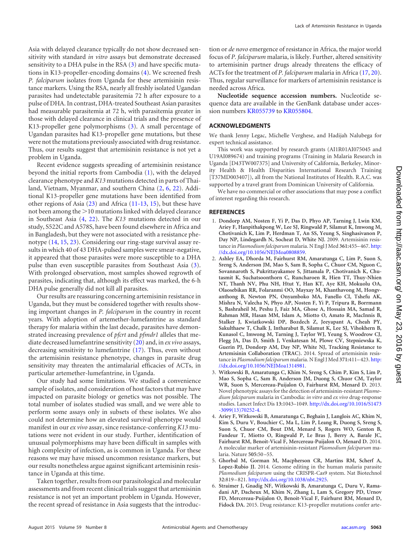Asia with delayed clearance typically do not show decreased sensitivity with standard *in vitro* assays but demonstrate decreased sensitivity to a DHA pulse in the RSA  $(3)$  and have specific mutations in K13-propeller-encoding domains [\(4\)](#page-4-5). We screened fresh *P. falciparum* isolates from Uganda for these artemisinin resistance markers. Using the RSA, nearly all freshly isolated Ugandan parasites had undetectable parasitemia 72 h after exposure to a pulse of DHA. In contrast, DHA-treated Southeast Asian parasites had measurable parasitemia at 72 h, with parasitemia greater in those with delayed clearance in clinical trials and the presence of K13-propeller gene polymorphisms [\(3\)](#page-4-2). A small percentage of Ugandan parasites had K13-propeller gene mutations, but these were not the mutations previously associated with drug resistance. Thus, our results suggest that artemisinin resistance is not yet a problem in Uganda.

Recent evidence suggests spreading of artemisinin resistance beyond the initial reports from Cambodia [\(1\)](#page-4-0), with the delayed clearance phenotype and *K13* mutations detected in parts of Thailand, Vietnam, Myanmar, and southern China [\(2,](#page-4-1) [6,](#page-4-4) [22\)](#page-5-15). Additional K13-propeller gene mutations have been identified from other regions of Asia [\(23\)](#page-5-14) and Africa [\(11](#page-5-4)[-](#page-5-16)[13,](#page-5-13) [15\)](#page-5-6), but these have not been among the  $>$  10 mutations linked with delayed clearance in Southeast Asia [\(4,](#page-4-5) [22\)](#page-5-15). The *K13* mutations detected in our study, S522C and A578S, have been found elsewhere in Africa and in Bangladesh, but they were not associated with a resistance phenotype [\(14,](#page-5-5) [15,](#page-5-6) [23\)](#page-5-14). Considering our ring-stage survival assay results in which 40 of 43 DHA-pulsed samples were smear-negative, it appeared that those parasites were more susceptible to a DHA pulse than even susceptible parasites from Southeast Asia [\(3\)](#page-4-2). With prolonged observation, most samples showed regrowth of parasites, indicating that, although its effect was marked, the 6-h DHA pulse generally did not kill all parasites.

Our results are reassuring concerning artemisinin resistance in Uganda, but they must be considered together with results showing important changes in *P. falciparum* in the country in recent years. With adoption of artemether-lumefantrine as standard therapy for malaria within the last decade, parasites have demonstrated increasing prevalence of *pfcrt* and *pfmdr1* alleles that mediate decreased lumefantrine sensitivity [\(20\)](#page-5-11) and, in *ex vivo* assays, decreasing sensitivity to lumefantrine [\(17\)](#page-5-8). Thus, even without the artemisinin resistance phenotype, changes in parasite drug sensitivity may threaten the antimalarial efficacies of ACTs, in particular artemether-lumefantrine, in Uganda.

Our study had some limitations. We studied a convenience sample of isolates, and consideration of host factors that may have impacted on parasite biology or genetics was not possible. The total number of isolates studied was small, and we were able to perform some assays only in subsets of these isolates. We also could not determine how an elevated survival phenotype would manifest in our *ex vivo* assay, since resistance-conferring *K13* mutations were not evident in our study. Further, identification of unusual polymorphisms may have been difficult in samples with high complexity of infection, as is common in Uganda. For these reasons we may have missed uncommon resistance markers, but our results nonetheless argue against significant artemisinin resistance in Uganda at this time.

Taken together, results from our parasitological and molecular assessments and from recent clinical trials suggest that artemisinin resistance is not yet an important problem in Uganda. However, the recent spread of resistance in Asia suggests that the introduction or *de novo* emergence of resistance in Africa, the major world focus of *P. falciparum* malaria, is likely. Further, altered sensitivity to artemisinin partner drugs already threatens the efficacy of ACTs for the treatment of *P. falciparum* malaria in Africa [\(17,](#page-5-8) [20\)](#page-5-11). Thus, regular surveillance for markers of artemisinin resistance is needed across Africa.

**Nucleotide sequence accession numbers.** Nucleotide sequence data are available in the GenBank database under accession numbers [KR055739](http://www.ncbi.nlm.nih.gov/nuccore?term=KR055739) to [KR055804.](http://www.ncbi.nlm.nih.gov/nuccore?term=KR055804)

#### **ACKNOWLEDGMENTS**

We thank Jenny Legac, Michelle Verghese, and Hadijah Nalubega for expert technical assistance.

This work was supported by research grants (AI1R01AI075045 and U19AI089674) and training programs (Training in Malaria Research in Uganda [D43TW007375] and University of California, Berkeley, Minority Health & Health Disparities International Research Training [T37MD003407]), all from the National Institutes of Health. R.A.C. was supported by a travel grant from Dominican University of California.

We have no commercial or other associations that may pose a conflict of interest regarding this research.

#### <span id="page-4-0"></span>**REFERENCES**

- 1. **Dondorp AM, Nosten F, Yi P, Das D, Phyo AP, Tarning J, Lwin KM, Ariey F, Hanpithakpong W, Lee SJ, Ringwald P, Silamut K, Imwong M, Chotivanich K, Lim P, Herdman T, An SS, Yeung S, Singhasivanon P, Day NP, Lindegardh N, Socheat D, White NJ.** 2009. Artemisinin resistance in *Plasmodium falciparum* malaria. N Engl J Med **361:**455– 467. [http:](http://dx.doi.org/10.1056/NEJMoa0808859) [//dx.doi.org/10.1056/NEJMoa0808859.](http://dx.doi.org/10.1056/NEJMoa0808859)
- <span id="page-4-1"></span>2. **Ashley EA, Dhorda M, Fairhurst RM, Amaratunga C, Lim P, Suon S, Sreng S, Anderson JM, Mao S, Sam B, Sopha C, Chuor CM, Nguon C, Sovannaroth S, Pukrittayakamee S, Jittamala P, Chotivanich K, Chutasmit K, Suchatsoonthorn C, Runcharoen R, Hien TT, Thuy-Nhien NT, Thanh NV, Phu NH, Htut Y, Han KT, Aye KH, Mokuolu OA, Olaosebikan RR, Folaranmi OO, Mayxay M, Khanthavong M, Hongvanthong B, Newton PN, Onyamboko MA, Fanello CI, Tshefu AK, Mishra N, Valecha N, Phyo AP, Nosten F, Yi P, Tripura R, Borrmann S, Bashraheil M, Peshu J, Faiz MA, Ghose A, Hossain MA, Samad R, Rahman MR, Hasan MM, Islam A, Miotto O, Amato R, MacInnis B, Stalker J, Kwiatkowski DP, Bozdech Z, Jeeyapant A, Cheah PY, Sakulthaew T, Chalk J, Intharabut B, Silamut K, Lee SJ, Vihokhern B, Kunasol C, Imwong M, Tarning J, Taylor WJ, Yeung S, Woodrow CJ, Flegg JA, Das D, Smith J, Venkatesan M, Plowe CV, Stepniewska K, Guerin PJ, Dondorp AM, Day NP, White NJ, Tracking Resistance to Artemisinin Collaboration (TRAC).** 2014. Spread of artemisinin resistance in *Plasmodium falciparum* malaria. N Engl J Med **371:**411– 423. [http:](http://dx.doi.org/10.1056/NEJMoa1314981) [//dx.doi.org/10.1056/NEJMoa1314981.](http://dx.doi.org/10.1056/NEJMoa1314981)
- <span id="page-4-2"></span>3. **Witkowski B, Amaratunga C, Khim N, Sreng S, Chim P, Kim S, Lim P, Mao S, Sopha C, Sam B, Anderson JM, Duong S, Chuor CM, Taylor WR, Suon S, Mercereau-Puijalon O, Fairhurst RM, Menard D.** 2013. Novel phenotypic assays for the detection of artemisinin-resistant *Plasmodium falciparum* malaria in Cambodia: *in vitro* and *ex vivo* drug-response studies. Lancet Infect Dis **13:**1043–1049. [http://dx.doi.org/10.1016/S1473](http://dx.doi.org/10.1016/S1473-3099(13)70252-4) [-3099\(13\)70252-4.](http://dx.doi.org/10.1016/S1473-3099(13)70252-4)
- <span id="page-4-5"></span>4. **Ariey F, Witkowski B, Amaratunga C, Beghain J, Langlois AC, Khim N, Kim S, Duru V, Bouchier C, Ma L, Lim P, Leang R, Duong S, Sreng S, Suon S, Chuor CM, Bout DM, Menard S, Rogers WO, Genton B, Fandeur T, Miotto O, Ringwald P, Le Bras J, Berry A, Barale JC, Fairhurst RM, Benoit-Vical F, Mercereau-Puijalon O, Menard D.** 2014. A molecular marker of artemisinin-resistant *Plasmodium falciparum* malaria. Nature **505:**50 –55.
- <span id="page-4-3"></span>5. **Ghorbal M, Gorman M, Macpherson CR, Martins RM, Scherf A, Lopez-Rubio JJ.** 2014. Genome editing in the human malaria parasite *Plasmodium falciparum* using the CRISPR-Cas9 system. Nat Biotechnol **32:**819 – 821. [http://dx.doi.org/10.1038/nbt.2925.](http://dx.doi.org/10.1038/nbt.2925)
- <span id="page-4-4"></span>6. **Straimer J, Gnadig NF, Witkowski B, Amaratunga C, Duru V, Ramadani AP, Dacheux M, Khim N, Zhang L, Lam S, Gregory PD, Urnov FD, Mercereau-Puijalon O, Benoit-Vical F, Fairhurst RM, Menard D, Fidock DA.** 2015. Drug resistance: K13-propeller mutations confer arte-